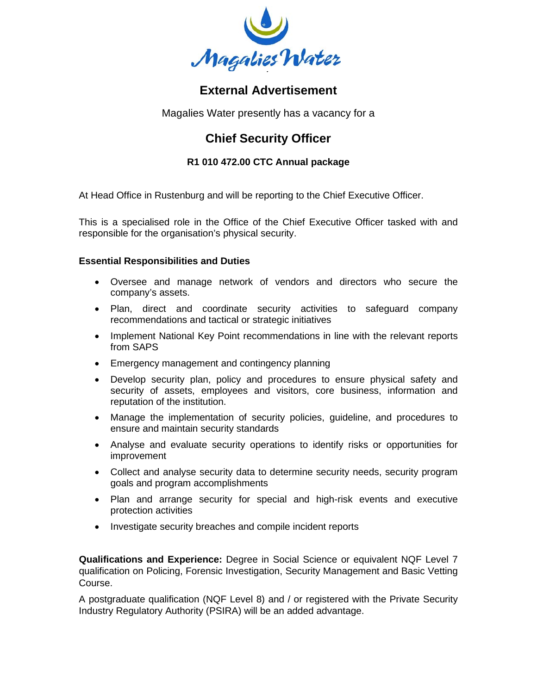

## **External Advertisement**

Magalies Water presently has a vacancy for a

# **Chief Security Officer**

### **R1 010 472.00 CTC Annual package**

At Head Office in Rustenburg and will be reporting to the Chief Executive Officer.

This is a specialised role in the Office of the Chief Executive Officer tasked with and responsible for the organisation's physical security.

#### **Essential Responsibilities and Duties**

- Oversee and manage network of vendors and directors who secure the company's assets.
- Plan, direct and coordinate security activities to safeguard company recommendations and tactical or strategic initiatives
- Implement National Key Point recommendations in line with the relevant reports from SAPS
- Emergency management and contingency planning
- Develop security plan, policy and procedures to ensure physical safety and security of assets, employees and visitors, core business, information and reputation of the institution.
- Manage the implementation of security policies, guideline, and procedures to ensure and maintain security standards
- Analyse and evaluate security operations to identify risks or opportunities for improvement
- Collect and analyse security data to determine security needs, security program goals and program accomplishments
- Plan and arrange security for special and high-risk events and executive protection activities
- Investigate security breaches and compile incident reports

**Qualifications and Experience:** Degree in Social Science or equivalent NQF Level 7 qualification on Policing, Forensic Investigation, Security Management and Basic Vetting Course.

A postgraduate qualification (NQF Level 8) and / or registered with the Private Security Industry Regulatory Authority (PSIRA) will be an added advantage.